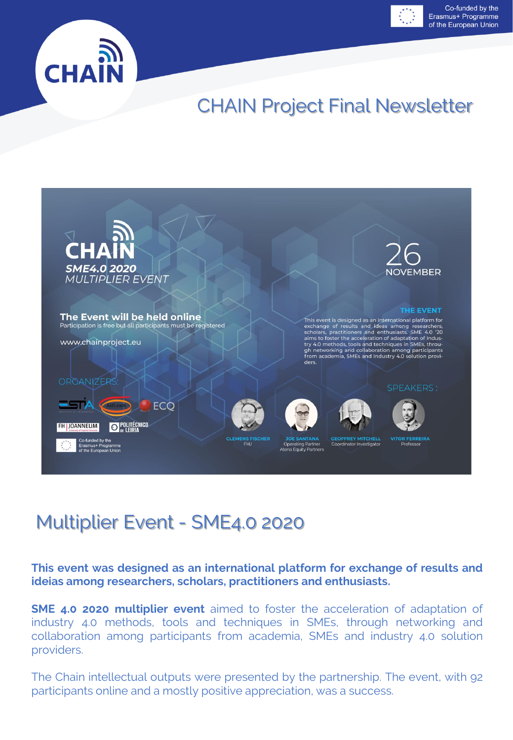



# CHAIN Project Final Newsletter



# Multiplier Event - SME4.0 2020

**This event was designed as an international platform for exchange of results and ideias among researchers, scholars, practitioners and enthusiasts.**

**SME 4.0 2020 multiplier event** aimed to foster the acceleration of adaptation of industry 4.0 methods, tools and techniques in SMEs, through networking and collaboration among participants from academia, SMEs and industry 4.0 solution providers.

The Chain intellectual outputs were presented by the partnership. The event, with 92 participants online and a mostly positive appreciation, was a success.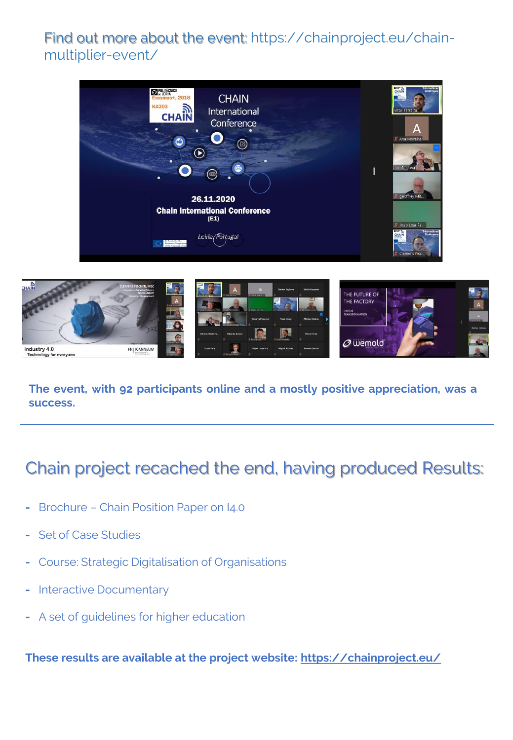#### Find out more about the event: https://chainproject.eu/chainmultiplier-event/





**The event, with 92 participants online and a mostly positive appreciation, was a success.**

## Chain project recached the end, having produced Results:

- **-** Brochure Chain Position Paper on I4.0
- **-** Set of Case Studies
- **-** Course: Strategic Digitalisation of Organisations
- **-** Interactive Documentary
- **-** A set of guidelines for higher education

**These results are available at the project website: [https://chainproject.eu/](https://eur02.safelinks.protection.outlook.com/?url=https%3A%2F%2Fchainproject.eu%2F&data=04%7C01%7Crenato.j.batista%40ipleiria.pt%7C7d0271dc180849ece09a08d8c1223de5%7C536b85ada4484186a9afe3ccad3302c5%7C0%7C0%7C637471700089276786%7CUnknown%7CTWFpbGZsb3d8eyJWIjoiMC4wLjAwMDAiLCJQIjoiV2luMzIiLCJBTiI6Ik1haWwiLCJXVCI6Mn0%3D%7C1000&sdata=l%2B8fVcQ8%2BNJ8P3Yy00W1%2F0UZ6mmCpaqSgwei45j8Ym0%3D&reserved=0)**